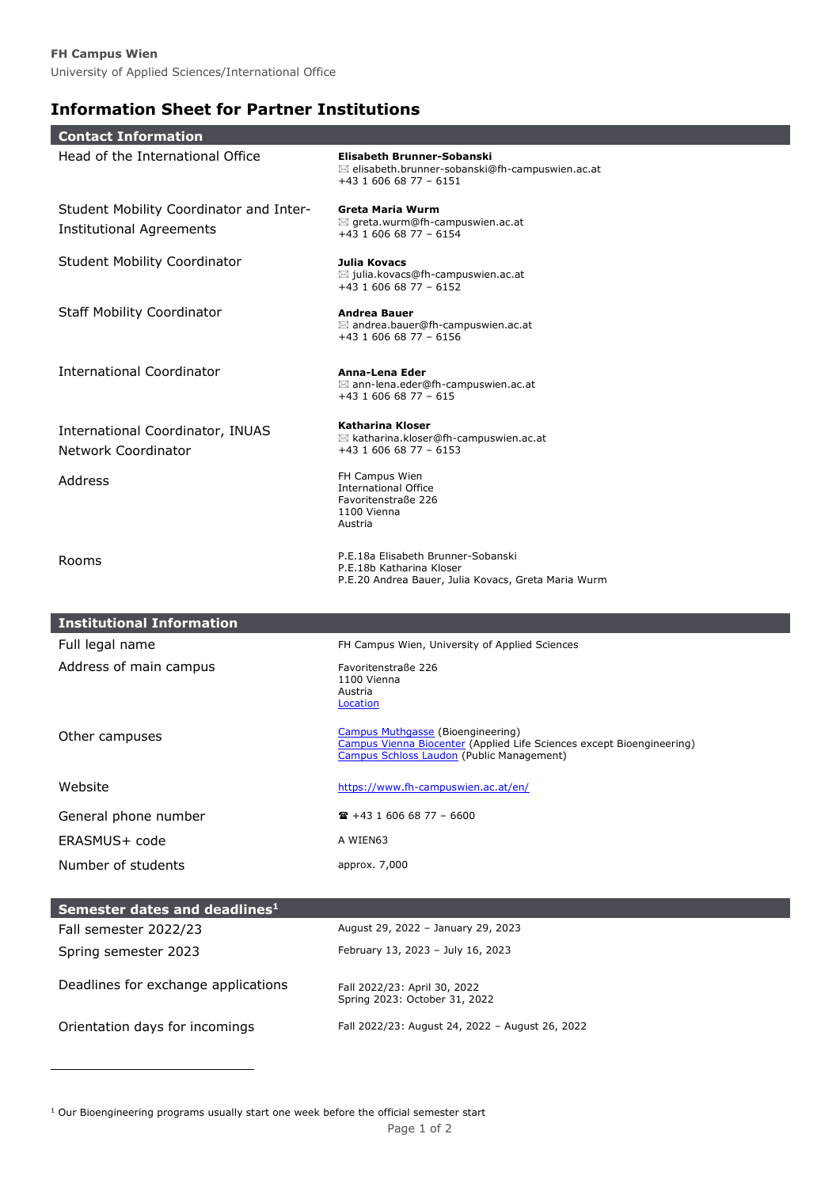## **Information Sheet for Partner Institutions**

| <b>Contact Information</b>                                     |                                                                                                                                                         |  |  |
|----------------------------------------------------------------|---------------------------------------------------------------------------------------------------------------------------------------------------------|--|--|
| Head of the International Office                               | Elisabeth Brunner-Sobanski<br>$\boxtimes$ elisabeth.brunner-sobanski@fh-campuswien.ac.at<br>+43 1 606 68 77 - 6151                                      |  |  |
| Student Mobility Coordinator and Inter-                        | Greta Maria Wurm                                                                                                                                        |  |  |
| <b>Institutional Agreements</b>                                | $\boxtimes$ greta.wurm@fh-campuswien.ac.at<br>$+43$ 1 606 68 77 - 6154                                                                                  |  |  |
| <b>Student Mobility Coordinator</b>                            | Julia Kovacs<br>$\boxtimes$ julia.kovacs@fh-campuswien.ac.at<br>$+43$ 1 606 68 77 - 6152                                                                |  |  |
| <b>Staff Mobility Coordinator</b>                              | <b>Andrea Bauer</b><br>$\boxtimes$ andrea.bauer@fh-campuswien.ac.at<br>$+43$ 1 606 68 77 - 6156                                                         |  |  |
| <b>International Coordinator</b>                               | Anna-Lena Eder<br>$\boxtimes$ ann-lena.eder@fh-campuswien.ac.at<br>$+43$ 1 606 68 77 - 615                                                              |  |  |
| International Coordinator, INUAS<br><b>Network Coordinator</b> | Katharina Kloser<br>$\boxtimes$ katharina.kloser@fh-campuswien.ac.at<br>$+43$ 1 606 68 77 - 6153                                                        |  |  |
| Address                                                        | FH Campus Wien<br><b>International Office</b><br>Favoritenstraße 226<br>1100 Vienna<br>Austria                                                          |  |  |
| Rooms                                                          | P.E.18a Elisabeth Brunner-Sobanski<br>P.E.18b Katharina Kloser<br>P.E.20 Andrea Bauer, Julia Kovacs, Greta Maria Wurm                                   |  |  |
| <b>Institutional Information</b>                               |                                                                                                                                                         |  |  |
| Full legal name                                                | FH Campus Wien, University of Applied Sciences                                                                                                          |  |  |
| Address of main campus                                         | Favoritenstraße 226<br>1100 Vienna<br>Austria<br>Location                                                                                               |  |  |
| Other campuses                                                 | Campus Muthgasse (Bioengineering)<br>Campus Vienna Biocenter (Applied Life Sciences except Bioengineering)<br>Campus Schloss Laudon (Public Management) |  |  |
| Website                                                        | https://www.fh-campuswien.ac.at/en/                                                                                                                     |  |  |
| General phone number                                           | $\mathbf{R}$ +43 1 606 68 77 - 6600                                                                                                                     |  |  |
| ERASMUS+ code                                                  | A WIEN63                                                                                                                                                |  |  |
| Number of students                                             | approx. 7,000                                                                                                                                           |  |  |
| Semester dates and deadlines <sup>1</sup>                      |                                                                                                                                                         |  |  |
| Fall semester 2022/23                                          | August 29, 2022 - January 29, 2023                                                                                                                      |  |  |
| Spring semester 2023                                           | February 13, 2023 - July 16, 2023                                                                                                                       |  |  |
| Deadlines for exchange applications                            | Fall 2022/23: April 30, 2022<br>Spring 2023: October 31, 2022                                                                                           |  |  |

ł

I

I

Orientation days for incomings Fall 2022/23: August 24, 2022 – August 26, 2022

<sup>1</sup> Our Bioengineering programs usually start one week before the official semester start